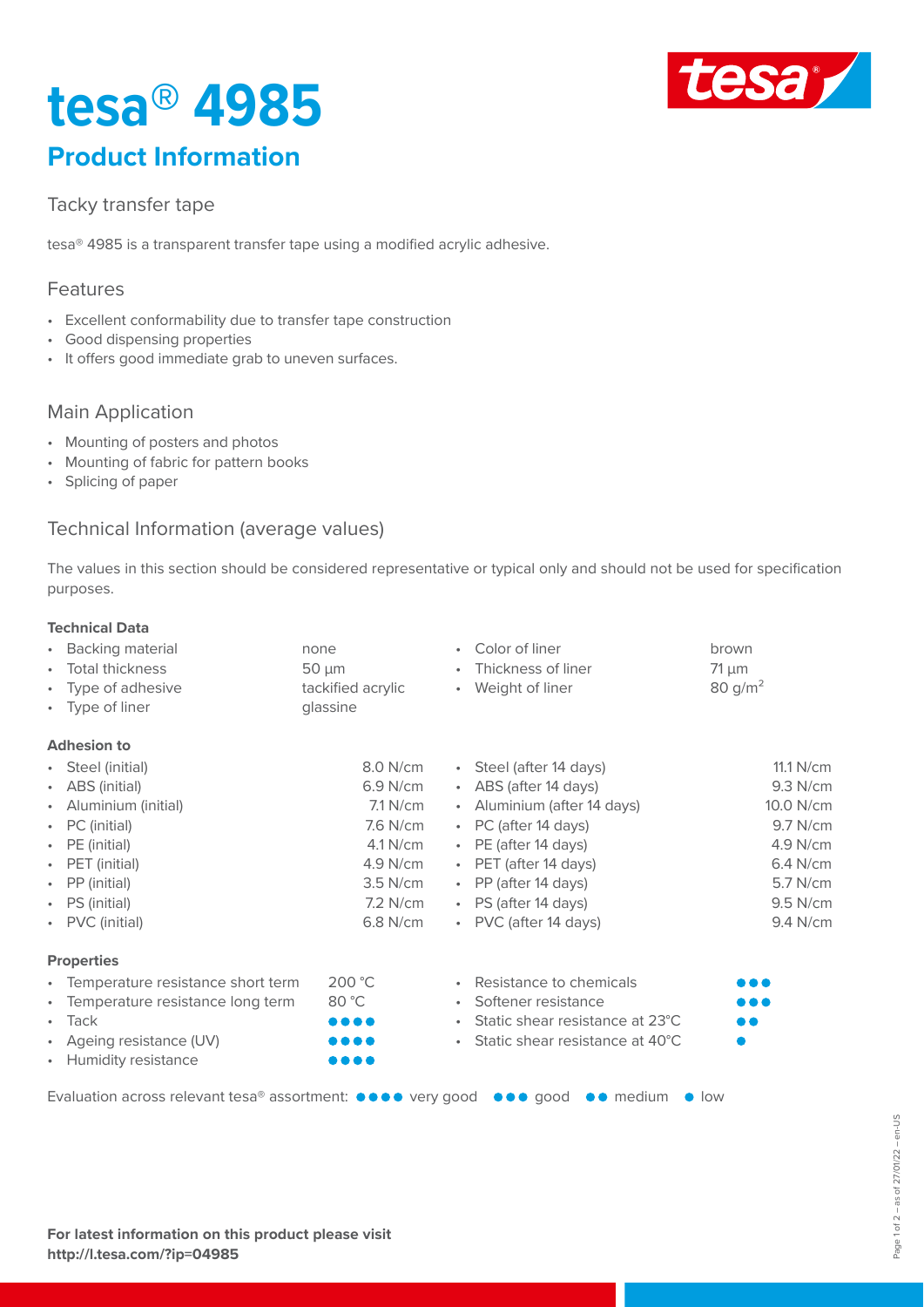# **tesa® 4985 Product Information**



### Tacky transfer tape

tesa® 4985 is a transparent transfer tape using a modified acrylic adhesive.

#### Features

- Excellent conformability due to transfer tape construction
- Good dispensing properties
- It offers good immediate grab to uneven surfaces.

### Main Application

- Mounting of posters and photos
- Mounting of fabric for pattern books
- Splicing of paper

#### Technical Information (average values)

The values in this section should be considered representative or typical only and should not be used for specification purposes.

#### **Technical Data**

| • Backing material                                                   | none                           | • Color of liner                            | brown         |
|----------------------------------------------------------------------|--------------------------------|---------------------------------------------|---------------|
| Total thickness<br>$\bullet$                                         | $50 \mu m$                     | Thickness of liner<br>$\bullet$             | $71 \mu m$    |
| Type of adhesive<br>$\bullet$                                        | tackified acrylic              | • Weight of liner                           | 80 $g/m^2$    |
| • Type of liner                                                      | glassine                       |                                             |               |
| <b>Adhesion to</b>                                                   |                                |                                             |               |
| • Steel (initial)                                                    | 8.0 N/cm                       | • Steel (after 14 days)                     | 11.1 N/cm     |
| • ABS (initial)                                                      | $6.9$ N/cm                     | • ABS (after 14 days)                       | 9.3 N/cm      |
| Aluminium (initial)<br>$\bullet$                                     | $7.1$ N/cm                     | • Aluminium (after 14 days)                 | 10.0 N/cm     |
| • PC (initial)                                                       | 7.6 N/cm                       | • PC (after 14 days)                        | 9.7 N/cm      |
| • $PE (initial)$                                                     | $4.1$ N/cm                     | • PE (after 14 days)                        | 4.9 N/cm      |
| PET (initial)<br>$\bullet$                                           | 4.9 N/cm                       | • PET (after 14 days)                       | 6.4 N/cm      |
| • PP (initial)                                                       | $3.5$ N/cm                     | • PP (after 14 days)                        | 5.7 N/cm      |
| • PS (initial)                                                       | $7.2$ N/cm                     | • PS (after 14 days)                        | 9.5 N/cm      |
| • PVC (initial)                                                      | 6.8 N/cm                       | • PVC (after 14 days)                       | 9.4 N/cm      |
| <b>Properties</b>                                                    |                                |                                             |               |
| • Temperature resistance short term                                  | 200 °C                         | • Resistance to chemicals                   | .             |
| Temperature resistance long term<br>$\bullet$                        | 80 °C                          | • Softener resistance                       |               |
| $\cdot$ Tack                                                         | $\bullet\bullet\bullet\bullet$ | • Static shear resistance at 23°C           | . .           |
| Ageing resistance (UV)<br>$\bullet$                                  | .                              | • Static shear resistance at $40^{\circ}$ C |               |
| • Humidity resistance                                                | .                              |                                             |               |
| Evaluation across relevant tesa® assortment: ●●●● very good ●●● good |                                | $\bullet \bullet \text{ medium}$            | $\bullet$ low |